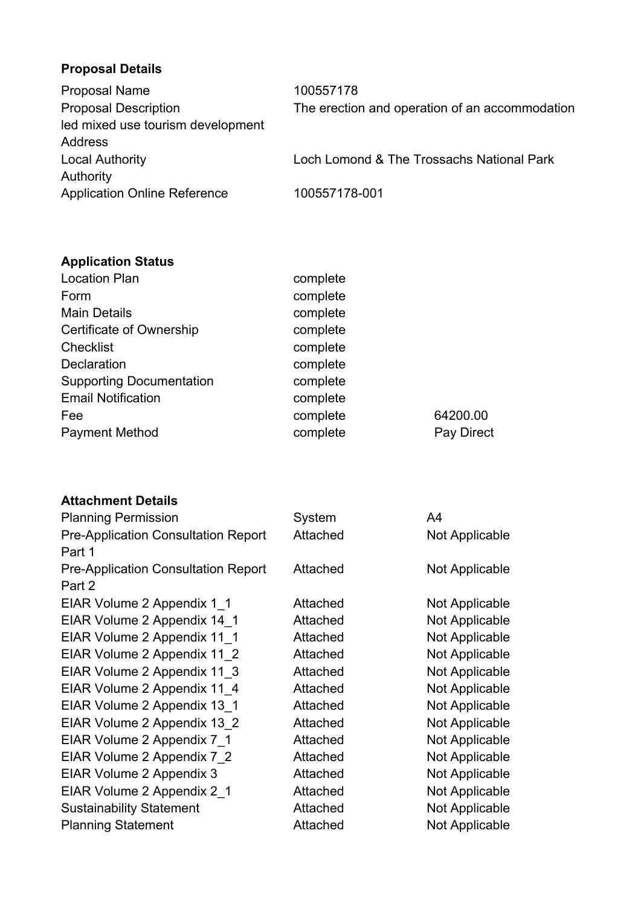## **Proposal Details**

| <b>Proposal Name</b>                | 100557178                                      |
|-------------------------------------|------------------------------------------------|
| <b>Proposal Description</b>         | The erection and operation of an accommodation |
| led mixed use tourism development   |                                                |
| Address                             |                                                |
| <b>Local Authority</b>              | Loch Lomond & The Trossachs National Park      |
| Authority                           |                                                |
| <b>Application Online Reference</b> | 100557178-001                                  |

## **Application Status**

| <b>Location Plan</b>            | complete |            |
|---------------------------------|----------|------------|
| Form                            | complete |            |
| <b>Main Details</b>             | complete |            |
| <b>Certificate of Ownership</b> | complete |            |
| <b>Checklist</b>                | complete |            |
| <b>Declaration</b>              | complete |            |
| <b>Supporting Documentation</b> | complete |            |
| <b>Email Notification</b>       | complete |            |
| Fee                             | complete | 64200.00   |
| <b>Payment Method</b>           | complete | Pay Direct |
|                                 |          |            |

## **Attachment Details**

| <b>Planning Permission</b>                           | System   | A4             |
|------------------------------------------------------|----------|----------------|
| <b>Pre-Application Consultation Report</b><br>Part 1 | Attached | Not Applicable |
| <b>Pre-Application Consultation Report</b><br>Part 2 | Attached | Not Applicable |
| EIAR Volume 2 Appendix 1 1                           | Attached | Not Applicable |
| EIAR Volume 2 Appendix 14_1                          | Attached | Not Applicable |
| EIAR Volume 2 Appendix 11 1                          | Attached | Not Applicable |
| EIAR Volume 2 Appendix 11_2                          | Attached | Not Applicable |
| EIAR Volume 2 Appendix 11 3                          | Attached | Not Applicable |
| EIAR Volume 2 Appendix 11_4                          | Attached | Not Applicable |
| EIAR Volume 2 Appendix 13 1                          | Attached | Not Applicable |
| EIAR Volume 2 Appendix 13 2                          | Attached | Not Applicable |
| EIAR Volume 2 Appendix 7 1                           | Attached | Not Applicable |
| EIAR Volume 2 Appendix 7_2                           | Attached | Not Applicable |
| EIAR Volume 2 Appendix 3                             | Attached | Not Applicable |
| EIAR Volume 2 Appendix 2 1                           | Attached | Not Applicable |
| <b>Sustainability Statement</b>                      | Attached | Not Applicable |
| <b>Planning Statement</b>                            | Attached | Not Applicable |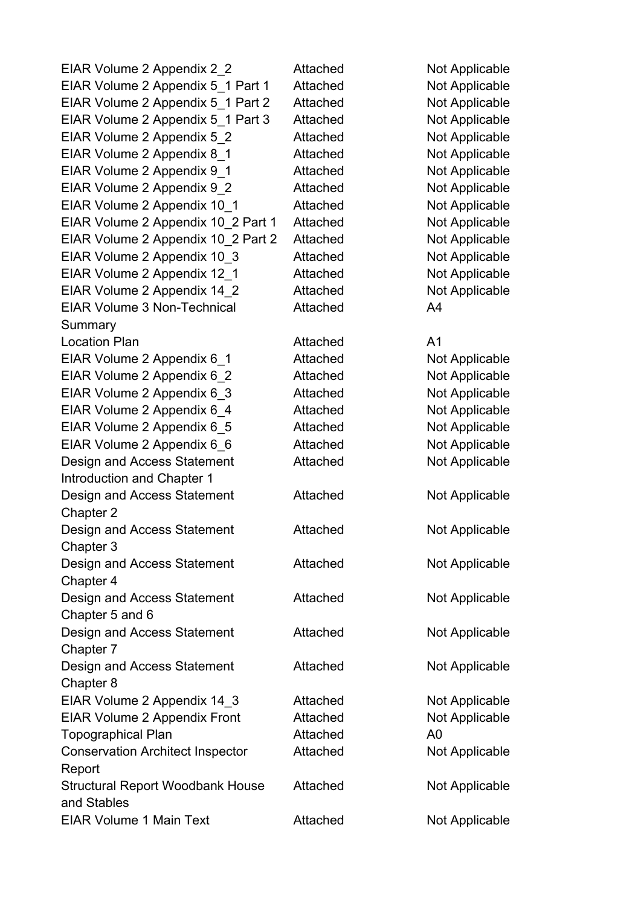EIAR Volume 2 Appendix 2 2 Attached Not Applicable EIAR Volume 2 Appendix 5\_1 Part 1 Attached Not Applicable EIAR Volume 2 Appendix 5\_1 Part 2 Attached Not Applicable EIAR Volume 2 Appendix 5\_1 Part 3 Attached Not Applicable EIAR Volume 2 Appendix 5 2 Attached Not Applicable EIAR Volume 2 Appendix 8 1 Attached Not Applicable EIAR Volume 2 Appendix 9 1 Attached Not Applicable EIAR Volume 2 Appendix 9 2 Attached Not Applicable EIAR Volume 2 Appendix 10 1 Attached Not Applicable EIAR Volume 2 Appendix 10\_2 Part 1 Attached Not Applicable EIAR Volume 2 Appendix 10\_2 Part 2 Attached Not Applicable EIAR Volume 2 Appendix 10\_3 Attached Not Applicable EIAR Volume 2 Appendix 12\_1 Attached Not Applicable EIAR Volume 2 Appendix 14 2 Attached Not Applicable EIAR Volume 3 Non-Technical Summary Location Plan and Attached A1 EIAR Volume 2 Appendix 6 1 Attached Not Applicable EIAR Volume 2 Appendix 6 2 Attached Not Applicable EIAR Volume 2 Appendix 6 3 Attached Not Applicable EIAR Volume 2 Appendix 6 4 Attached Not Applicable EIAR Volume 2 Appendix 6 5 Attached Not Applicable EIAR Volume 2 Appendix 6 6 Attached Not Applicable Design and Access Statement Introduction and Chapter 1 Design and Access Statement Chapter 2 Design and Access Statement Chapter 3 Design and Access Statement Chapter 4 Design and Access Statement Chapter 5 and 6 Design and Access Statement Chapter 7 Design and Access Statement Chapter 8 EIAR Volume 2 Appendix 14 3 Attached Not Applicable EIAR Volume 2 Appendix Front Attached Not Applicable Topographical Plan Accords Attached A0 Conservation Architect Inspector Report Structural Report Woodbank House and Stables EIAR Volume 1 Main Text **Attached** Not Applicable

Attached A4 Attached Not Applicable

Attached Not Applicable Attached Not Applicable Attached Not Applicable Attached Not Applicable Attached Not Applicable Attached Not Applicable Attached Not Applicable Attached Not Applicable